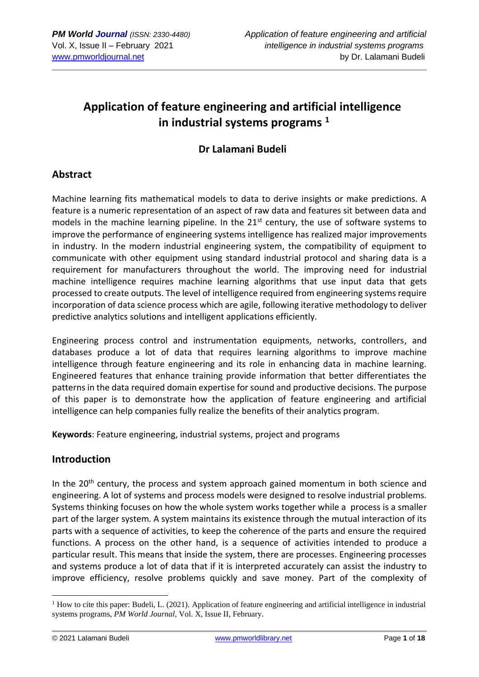# **Application of feature engineering and artificial intelligence in industrial systems programs <sup>1</sup>**

# **Dr Lalamani Budeli**

# **Abstract**

Machine learning fits mathematical models to data to derive insights or make predictions. A feature is a numeric representation of an aspect of raw data and features sit between data and models in the machine learning pipeline. In the  $21<sup>st</sup>$  century, the use of software systems to improve the performance of engineering systems intelligence has realized major improvements in industry. In the modern industrial engineering system, the compatibility of equipment to communicate with other equipment using standard industrial protocol and sharing data is a requirement for manufacturers throughout the world. The improving need for industrial machine intelligence requires machine learning algorithms that use input data that gets processed to create outputs. The level of intelligence required from engineering systems require incorporation of data science process which are agile, following iterative methodology to deliver predictive analytics solutions and intelligent applications efficiently.

Engineering process control and instrumentation equipments, networks, controllers, and databases produce a lot of data that requires learning algorithms to improve machine intelligence through feature engineering and its role in enhancing data in machine learning. Engineered features that enhance training provide information that better differentiates the patterns in the data required domain expertise for sound and productive decisions. The purpose of this paper is to demonstrate how the application of feature engineering and artificial intelligence can help companies fully realize the benefits of their analytics program.

**Keywords**: Feature engineering, industrial systems, project and programs

# **Introduction**

In the  $20<sup>th</sup>$  century, the process and system approach gained momentum in both science and engineering. A lot of systems and process models were designed to resolve industrial problems. Systems thinking focuses on how the whole system works together while a process is a smaller part of the larger system. A system maintains its existence through the mutual interaction of its parts with a sequence of activities, to keep the coherence of the parts and ensure the required functions. A process on the other hand, is a sequence of activities intended to produce a particular result. This means that inside the system, there are processes. Engineering processes and systems produce a lot of data that if it is interpreted accurately can assist the industry to improve efficiency, resolve problems quickly and save money. Part of the complexity of

<sup>&</sup>lt;sup>1</sup> How to cite this paper: Budeli, L. (2021). Application of feature engineering and artificial intelligence in industrial systems programs, *PM World Journal*, Vol. X, Issue II, February.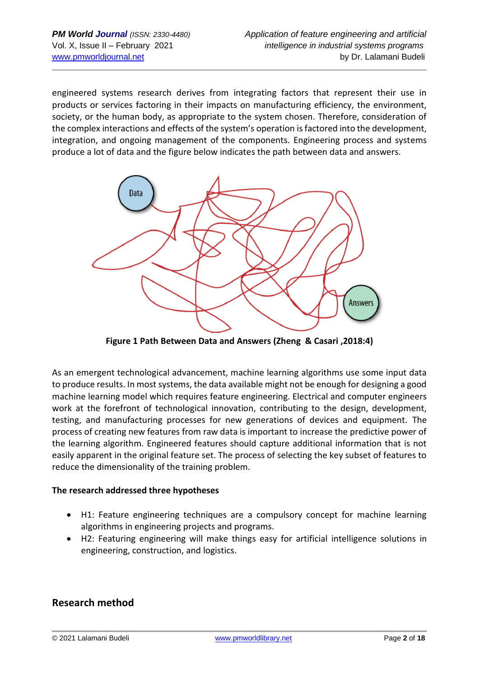engineered systems research derives from integrating factors that represent their use in products or services factoring in their impacts on manufacturing efficiency, the environment, society, or the human body, as appropriate to the system chosen. Therefore, consideration of the complex interactions and effects of the system's operation is factored into the development, integration, and ongoing management of the components. Engineering process and systems produce a lot of data and the figure below indicates the path between data and answers.



**Figure 1 Path Between Data and Answers (Zheng & Casari ,2018:4)**

As an emergent technological advancement, machine learning algorithms use some input data to produce results. In most systems, the data available might not be enough for designing a good machine learning model which requires feature engineering. Electrical and computer engineers work at the forefront of technological innovation, contributing to the design, development, testing, and manufacturing processes for new generations of devices and equipment. The process of creating new features from raw data is important to increase the predictive power of the learning algorithm. Engineered features should capture additional information that is not easily apparent in the original feature set. The process of selecting the key subset of features to reduce the dimensionality of the training problem.

## **The research addressed three hypotheses**

- H1: Feature engineering techniques are a compulsory concept for machine learning algorithms in engineering projects and programs.
- H2: Featuring engineering will make things easy for artificial intelligence solutions in engineering, construction, and logistics.

# **Research method**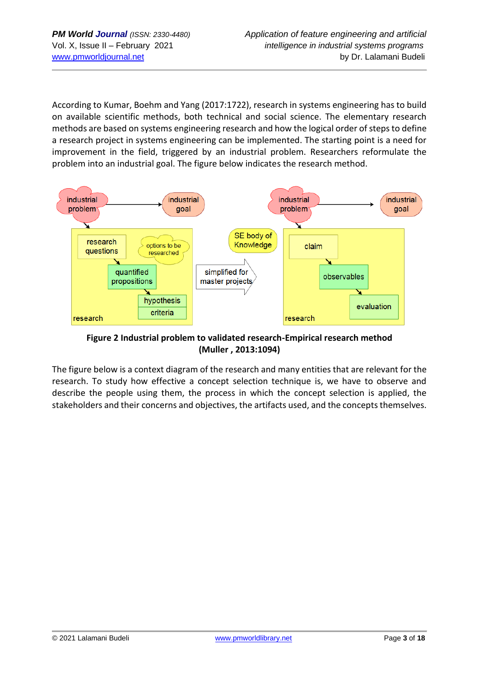According to Kumar, Boehm and Yang (2017:1722), research in systems engineering has to build on available scientific methods, both technical and social science. The elementary research methods are based on systems engineering research and how the logical order of steps to define a research project in systems engineering can be implemented. The starting point is a need for improvement in the field, triggered by an industrial problem. Researchers reformulate the problem into an industrial goal. The figure below indicates the research method.



**Figure 2 Industrial problem to validated research-Empirical research method (Muller , 2013:1094)**

The figure below is a context diagram of the research and many entities that are relevant for the research. To study how effective a concept selection technique is, we have to observe and describe the people using them, the process in which the concept selection is applied, the stakeholders and their concerns and objectives, the artifacts used, and the concepts themselves.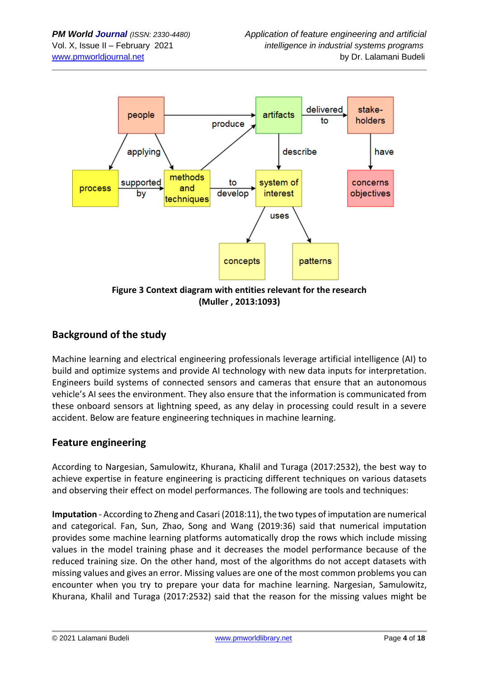

**(Muller , 2013:1093)**

# **Background of the study**

Machine learning and electrical engineering professionals leverage artificial intelligence (AI) to build and optimize systems and provide AI technology with new data inputs for interpretation. Engineers build systems of connected sensors and cameras that ensure that an autonomous vehicle's AI sees the environment. They also ensure that the information is communicated from these onboard sensors at lightning speed, as any delay in processing could result in a severe accident. Below are feature engineering techniques in machine learning.

# **Feature engineering**

According to Nargesian, Samulowitz, Khurana, Khalil and Turaga (2017:2532), the best way to achieve expertise in feature engineering is practicing different techniques on various datasets and observing their effect on model performances. The following are tools and techniques:

**Imputation** - According to Zheng and Casari (2018:11), the two types of imputation are numerical and categorical. Fan, Sun, Zhao, Song and Wang (2019:36) said that numerical imputation provides some machine learning platforms automatically drop the rows which include missing values in the model training phase and it decreases the model performance because of the reduced training size. On the other hand, most of the algorithms do not accept datasets with missing values and gives an error. Missing values are one of the most common problems you can encounter when you try to prepare your data for machine learning. Nargesian, Samulowitz, Khurana, Khalil and Turaga (2017:2532) said that the reason for the missing values might be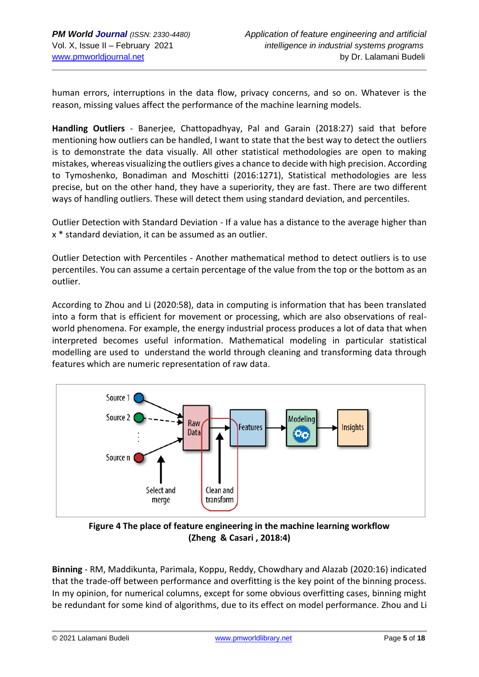human errors, interruptions in the data flow, privacy concerns, and so on. Whatever is the reason, missing values affect the performance of the machine learning models.

**Handling Outliers** - Banerjee, Chattopadhyay, Pal and Garain (2018:27) said that before mentioning how outliers can be handled, I want to state that the best way to detect the outliers is to demonstrate the data visually. All other statistical methodologies are open to making mistakes, whereas visualizing the outliers gives a chance to decide with high precision. According to Tymoshenko, Bonadiman and Moschitti (2016:1271), Statistical methodologies are less precise, but on the other hand, they have a superiority, they are fast. There are two different ways of handling outliers. These will detect them using standard deviation, and percentiles.

Outlier Detection with Standard Deviation - If a value has a distance to the average higher than x \* standard deviation, it can be assumed as an outlier.

Outlier Detection with Percentiles - Another mathematical method to detect outliers is to use percentiles. You can assume a certain percentage of the value from the top or the bottom as an outlier.

According to Zhou and Li (2020:58), data in computing is information that has been translated into a form that is efficient for movement or processing, which are also observations of realworld phenomena. For example, the energy industrial process produces a lot of data that when interpreted becomes useful information. Mathematical modeling in particular statistical modelling are used to understand the world through cleaning and transforming data through features which are numeric representation of raw data.



**Figure 4 The place of feature engineering in the machine learning workflow (Zheng & Casari , 2018:4)**

**Binning** - RM, Maddikunta, Parimala, Koppu, Reddy, Chowdhary and Alazab (2020:16) indicated that the trade-off between performance and overfitting is the key point of the binning process. In my opinion, for numerical columns, except for some obvious overfitting cases, binning might be redundant for some kind of algorithms, due to its effect on model performance. Zhou and Li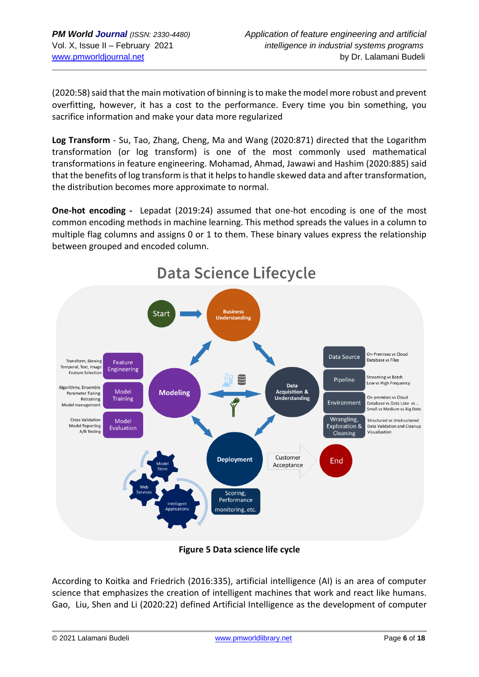(2020:58) said that the main motivation of binning is to make the model more robust and prevent overfitting, however, it has a cost to the performance. Every time you bin something, you sacrifice information and make your data more regularized

**Log Transform** - Su, Tao, Zhang, Cheng, Ma and Wang (2020:871) directed that the Logarithm transformation (or log transform) is one of the most commonly used mathematical transformations in feature engineering. Mohamad, Ahmad, Jawawi and Hashim (2020:885) said that the benefits of log transform is that it helps to handle skewed data and after transformation, the distribution becomes more approximate to normal.

**One-hot encoding -** Lepadat (2019:24) assumed that one-hot encoding is one of the most common encoding methods in machine learning. This method spreads the values in a column to multiple flag columns and assigns 0 or 1 to them. These binary values express the relationship between grouped and encoded column.



# **Data Science Lifecycle**

**Figure 5 Data science life cycle**

According to Koitka and Friedrich (2016:335), artificial intelligence (AI) is an area of computer science that emphasizes the creation of intelligent machines that work and react like humans. Gao, Liu, Shen and Li (2020:22) defined Artificial Intelligence as the development of computer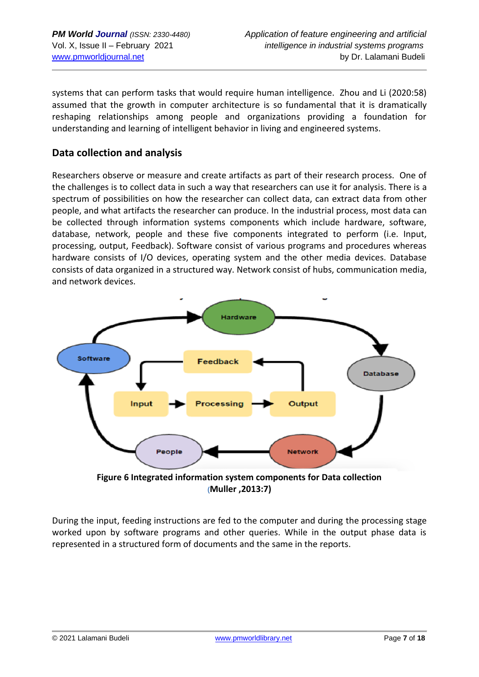systems that can perform tasks that would require human intelligence. Zhou and Li (2020:58) assumed that the growth in computer architecture is so fundamental that it is dramatically reshaping relationships among people and organizations providing a foundation for understanding and learning of intelligent behavior in living and engineered systems.

# **Data collection and analysis**

Researchers observe or measure and create artifacts as part of their research process. One of the challenges is to collect data in such a way that researchers can use it for analysis. There is a spectrum of possibilities on how the researcher can collect data, can extract data from other people, and what artifacts the researcher can produce. In the industrial process, most data can be collected through information systems components which include hardware, software, database, network, people and these five components integrated to perform (i.e. Input, processing, output, Feedback). Software consist of various programs and procedures whereas hardware consists of I/O devices, operating system and the other media devices. Database consists of data organized in a structured way. Network consist of hubs, communication media, and network devices.



During the input, feeding instructions are fed to the computer and during the processing stage worked upon by software programs and other queries. While in the output phase data is represented in a structured form of documents and the same in the reports.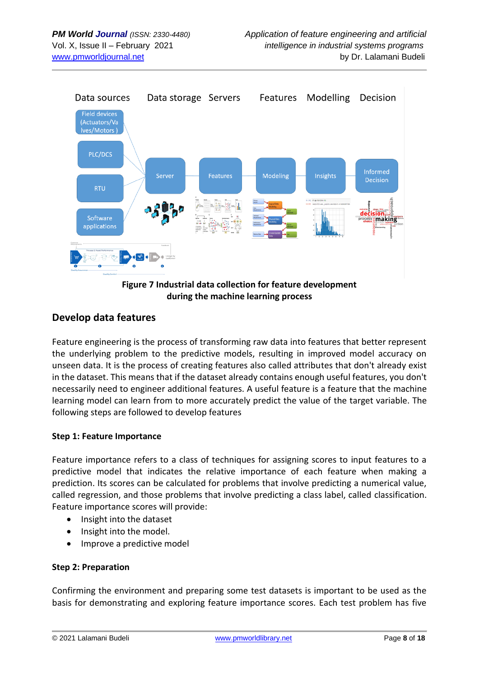

**during the machine learning process**

# **Develop data features**

Feature engineering is the process of transforming raw data into features that better represent the underlying problem to the predictive models, resulting in improved model accuracy on unseen data. It is the process of creating features also called attributes that don't already exist in the dataset. This means that if the dataset already contains enough useful features, you don't necessarily need to engineer additional features. A useful feature is a feature that the machine learning model can learn from to more accurately predict the value of the target variable. The following steps are followed to develop features

## **Step 1: Feature Importance**

Feature importance refers to a class of techniques for assigning scores to input features to a predictive model that indicates the relative importance of each feature when making a prediction. Its scores can be calculated for problems that involve predicting a numerical value, called regression, and those problems that involve predicting a class label, called classification. Feature importance scores will provide:

- Insight into the dataset
- Insight into the model.
- Improve a predictive model

## **Step 2: Preparation**

Confirming the environment and preparing some test datasets is important to be used as the basis for demonstrating and exploring feature importance scores. Each test problem has five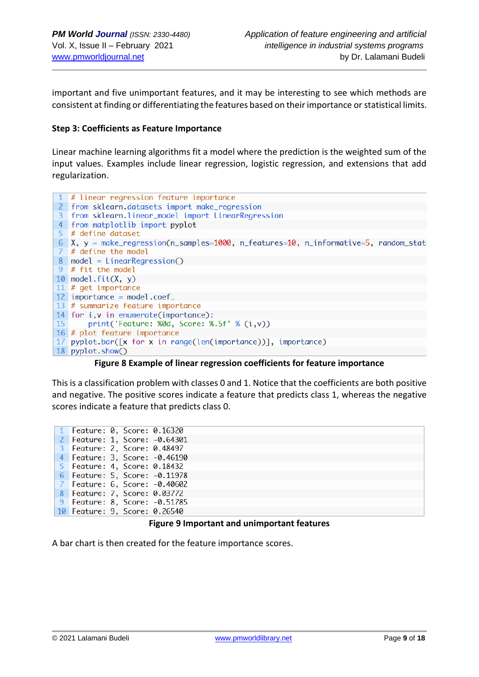important and five unimportant features, and it may be interesting to see which methods are consistent at finding or differentiating the features based on their importance or statistical limits.

#### **Step 3: Coefficients as Feature Importance**

Linear machine learning algorithms fit a model where the prediction is the weighted sum of the input values. Examples include linear regression, logistic regression, and extensions that add regularization.



**Figure 8 Example of linear regression coefficients for feature importance**

This is a classification problem with classes 0 and 1. Notice that the coefficients are both positive and negative. The positive scores indicate a feature that predicts class 1, whereas the negative scores indicate a feature that predicts class 0.

|  | 1 Feature: 0, Score: 0.16320  |
|--|-------------------------------|
|  | 2 Feature: 1, Score: -0.64301 |
|  | 3 Feature: 2, Score: 0.48497  |
|  | 4 Feature: 3, Score: -0.46190 |
|  | 5 Feature: 4, Score: 0.18432  |
|  | 6 Feature: 5, Score: -0.11978 |
|  | 7 Feature: 6, Score: -0.40602 |
|  | 8 Feature: 7, Score: 0.03772  |
|  | 9 Feature: 8, Score: -0.51785 |
|  | 10 Feature: 9, Score: 0.26540 |
|  |                               |

#### **Figure 9 Important and unimportant features**

A bar chart is then created for the feature importance scores.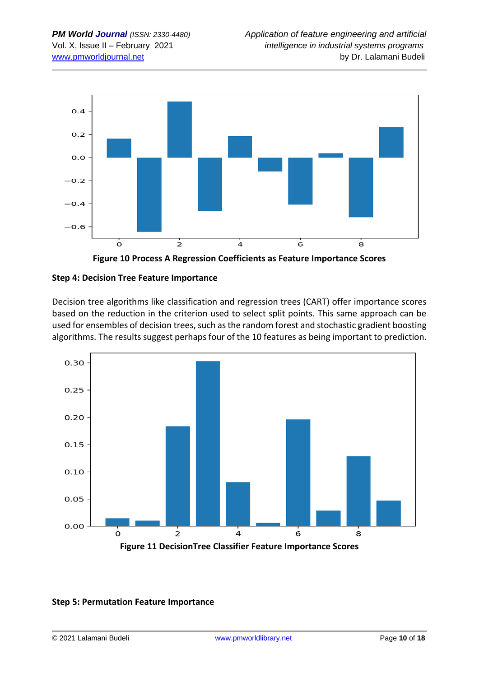



## **Step 4: Decision Tree Feature Importance**

Decision tree algorithms like classification and regression trees (CART) offer importance scores based on the reduction in the criterion used to select split points. This same approach can be used for ensembles of decision trees, such as the random forest and stochastic gradient boosting algorithms. The results suggest perhaps four of the 10 features as being important to prediction.



## **Step 5: Permutation Feature Importance**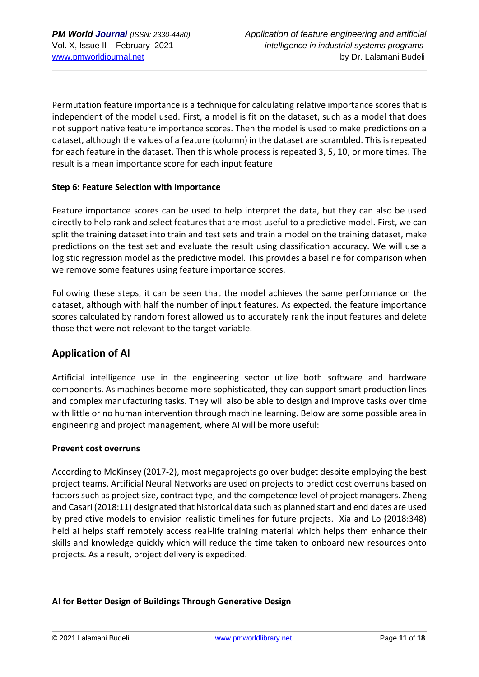Permutation feature importance is a technique for calculating relative importance scores that is independent of the model used. First, a model is fit on the dataset, such as a model that does not support native feature importance scores. Then the model is used to make predictions on a dataset, although the values of a feature (column) in the dataset are scrambled. This is repeated for each feature in the dataset. Then this whole process is repeated 3, 5, 10, or more times. The result is a mean importance score for each input feature

## **Step 6: Feature Selection with Importance**

Feature importance scores can be used to help interpret the data, but they can also be used directly to help rank and select features that are most useful to a predictive model. First, we can split the training dataset into train and test sets and train a model on the training dataset, make predictions on the test set and evaluate the result using classification accuracy. We will use a logistic regression model as the predictive model. This provides a baseline for comparison when we remove some features using feature importance scores.

Following these steps, it can be seen that the model achieves the same performance on the dataset, although with half the number of input features. As expected, the feature importance scores calculated by random forest allowed us to accurately rank the input features and delete those that were not relevant to the target variable.

# **Application of AI**

Artificial intelligence use in the engineering sector utilize both software and hardware components. As machines become more sophisticated, they can support smart production lines and complex manufacturing tasks. They will also be able to design and improve tasks over time with little or no human intervention through machine learning. Below are some possible area in engineering and project management, where AI will be more useful:

## **Prevent cost overruns**

According to McKinsey (2017-2), most megaprojects go over budget despite employing the best project teams. Artificial Neural Networks are used on projects to predict cost overruns based on factors such as project size, contract type, and the competence level of project managers. Zheng and Casari (2018:11) designated that historical data such as planned start and end dates are used by predictive models to envision realistic timelines for future projects. Xia and Lo (2018:348) held al helps staff remotely access real-life training material which helps them enhance their skills and knowledge quickly which will reduce the time taken to onboard new resources onto projects. As a result, project delivery is expedited.

# **AI for Better Design of Buildings Through Generative Design**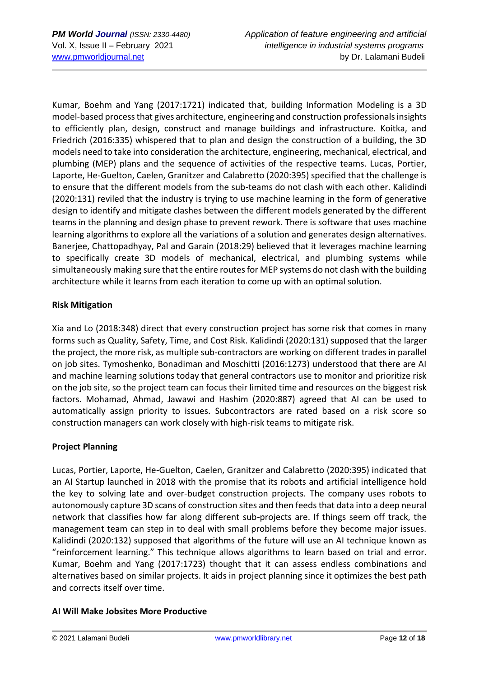Kumar, Boehm and Yang (2017:1721) indicated that, building Information Modeling is a 3D model-based process that gives architecture, engineering and construction professionals insights to efficiently plan, design, construct and manage buildings and infrastructure. Koitka, and Friedrich (2016:335) whispered that to plan and design the construction of a building, the 3D models need to take into consideration the architecture, engineering, mechanical, electrical, and plumbing (MEP) plans and the sequence of activities of the respective teams. Lucas, Portier, Laporte, He-Guelton, Caelen, Granitzer and Calabretto (2020:395) specified that the challenge is to ensure that the different models from the sub-teams do not clash with each other. Kalidindi (2020:131) reviled that the industry is trying to use machine learning in the form of generative design to identify and mitigate clashes between the different models generated by the different teams in the planning and design phase to prevent rework. There is software that uses machine learning algorithms to explore all the variations of a solution and generates design alternatives. Banerjee, Chattopadhyay, Pal and Garain (2018:29) believed that it leverages machine learning to specifically create 3D models of mechanical, electrical, and plumbing systems while simultaneously making sure that the entire routes for MEP systems do not clash with the building architecture while it learns from each iteration to come up with an optimal solution.

# **Risk Mitigation**

Xia and Lo (2018:348) direct that every construction project has some risk that comes in many forms such as Quality, Safety, Time, and Cost Risk. Kalidindi (2020:131) supposed that the larger the project, the more risk, as multiple sub-contractors are working on different trades in parallel on job sites. Tymoshenko, Bonadiman and Moschitti (2016:1273) understood that there are AI and machine learning solutions today that general contractors use to monitor and prioritize risk on the job site, so the project team can focus their limited time and resources on the biggest risk factors. Mohamad, Ahmad, Jawawi and Hashim (2020:887) agreed that AI can be used to automatically assign priority to issues. Subcontractors are rated based on a risk score so construction managers can work closely with high-risk teams to mitigate risk.

## **Project Planning**

Lucas, Portier, Laporte, He-Guelton, Caelen, Granitzer and Calabretto (2020:395) indicated that an AI Startup launched in 2018 with the promise that its robots and artificial intelligence hold the key to solving late and over-budget construction projects. The company uses robots to autonomously capture 3D scans of construction sites and then feeds that data into a deep neural network that classifies how far along different sub-projects are. If things seem off track, the management team can step in to deal with small problems before they become major issues. Kalidindi (2020:132) supposed that algorithms of the future will use an AI technique known as "reinforcement learning." This technique allows algorithms to learn based on trial and error. Kumar, Boehm and Yang (2017:1723) thought that it can assess endless combinations and alternatives based on similar projects. It aids in project planning since it optimizes the best path and corrects itself over time.

## **AI Will Make Jobsites More Productive**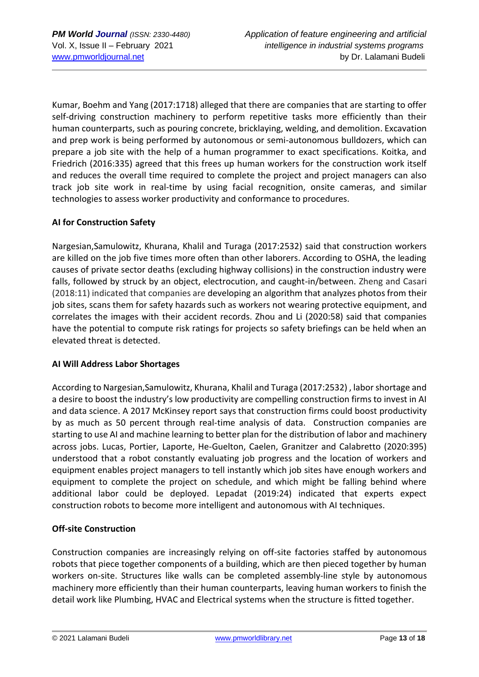Kumar, Boehm and Yang (2017:1718) alleged that there are companies that are starting to offer self-driving construction machinery to perform repetitive tasks more efficiently than their human counterparts, such as pouring concrete, bricklaying, welding, and demolition. Excavation and prep work is being performed by autonomous or semi-autonomous bulldozers, which can prepare a job site with the help of a human programmer to exact specifications. Koitka, and Friedrich (2016:335) agreed that this frees up human workers for the construction work itself and reduces the overall time required to complete the project and project managers can also track job site work in real-time by using facial recognition, onsite cameras, and similar technologies to assess worker productivity and conformance to procedures.

# **AI for Construction Safety**

Nargesian,Samulowitz, Khurana, Khalil and Turaga (2017:2532) said that construction workers are killed on the job five times more often than other laborers. According to OSHA, the leading causes of private sector deaths (excluding highway collisions) in the construction industry were falls, followed by struck by an object, electrocution, and caught-in/between. Zheng and Casari (2018:11) indicated that companies are developing an algorithm that analyzes photos from their job sites, scans them for safety hazards such as workers not wearing protective equipment, and correlates the images with their accident records. Zhou and Li (2020:58) said that companies have the potential to compute risk ratings for projects so safety briefings can be held when an elevated threat is detected.

## **AI Will Address Labor Shortages**

According to Nargesian,Samulowitz, Khurana, Khalil and Turaga (2017:2532) , labor shortage and a desire to boost the industry's low productivity are compelling construction firms to invest in AI and data science. A 2017 McKinsey report says that construction firms could boost productivity by as much as 50 percent through real-time analysis of data. Construction companies are starting to use AI and machine learning to better plan for the distribution of labor and machinery across jobs. Lucas, Portier, Laporte, He-Guelton, Caelen, Granitzer and Calabretto (2020:395) understood that a robot constantly evaluating job progress and the location of workers and equipment enables project managers to tell instantly which job sites have enough workers and equipment to complete the project on schedule, and which might be falling behind where additional labor could be deployed. Lepadat (2019:24) indicated that experts expect construction robots to become more intelligent and autonomous with AI techniques.

## **Off-site Construction**

Construction companies are increasingly relying on off-site factories staffed by autonomous robots that piece together components of a building, which are then pieced together by human workers on-site. Structures like walls can be completed assembly-line style by autonomous machinery more efficiently than their human counterparts, leaving human workers to finish the detail work like Plumbing, HVAC and Electrical systems when the structure is fitted together.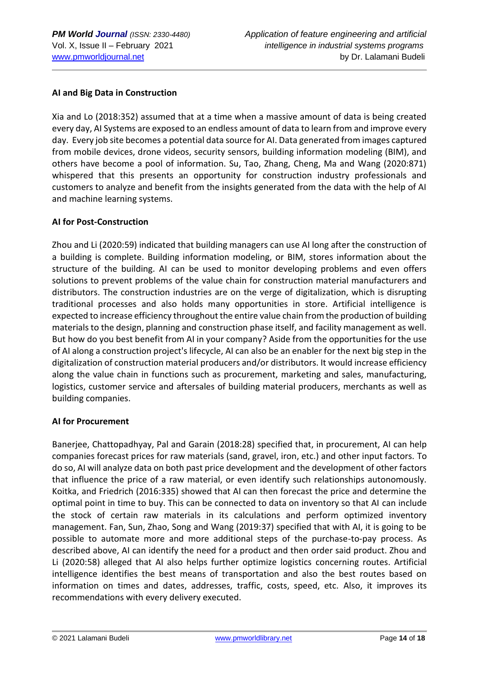## **AI and Big Data in Construction**

Xia and Lo (2018:352) assumed that at a time when a massive amount of data is being created every day, AI Systems are exposed to an endless amount of data to learn from and improve every day. Every job site becomes a potential data source for AI. Data generated from images captured from mobile devices, drone videos, security sensors, building information modeling (BIM), and others have become a pool of information. Su, Tao, Zhang, Cheng, Ma and Wang (2020:871) whispered that this presents an opportunity for construction industry professionals and customers to analyze and benefit from the insights generated from the data with the help of AI and machine learning systems.

## **AI for Post-Construction**

Zhou and Li (2020:59) indicated that building managers can use AI long after the construction of a building is complete. Building information modeling, or BIM, stores information about the structure of the building. AI can be used to monitor developing problems and even offers solutions to prevent problems of the value chain for construction material manufacturers and distributors. The construction industries are on the verge of digitalization, which is disrupting traditional processes and also holds many opportunities in store. Artificial intelligence is expected to increase efficiency throughout the entire value chain from the production of building materials to the design, planning and construction phase itself, and facility management as well. But how do you best benefit from AI in your company? Aside from the opportunities for the use of AI along a construction project's lifecycle, AI can also be an enabler for the next big step in the digitalization of construction material producers and/or distributors. It would increase efficiency along the value chain in functions such as procurement, marketing and sales, manufacturing, logistics, customer service and aftersales of building material producers, merchants as well as building companies.

## **AI for Procurement**

Banerjee, Chattopadhyay, Pal and Garain (2018:28) specified that, in procurement, AI can help companies forecast prices for raw materials (sand, gravel, iron, etc.) and other input factors. To do so, AI will analyze data on both past price development and the development of other factors that influence the price of a raw material, or even identify such relationships autonomously. Koitka, and Friedrich (2016:335) showed that AI can then forecast the price and determine the optimal point in time to buy. This can be connected to data on inventory so that AI can include the stock of certain raw materials in its calculations and perform optimized inventory management. Fan, Sun, Zhao, Song and Wang (2019:37) specified that with AI, it is going to be possible to automate more and more additional steps of the purchase-to-pay process. As described above, AI can identify the need for a product and then order said product. Zhou and Li (2020:58) alleged that AI also helps further optimize logistics concerning routes. Artificial intelligence identifies the best means of transportation and also the best routes based on information on times and dates, addresses, traffic, costs, speed, etc. Also, it improves its recommendations with every delivery executed.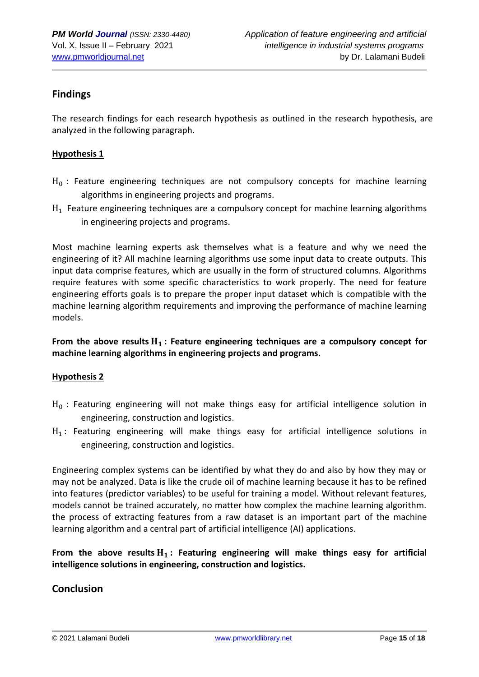# **Findings**

The research findings for each research hypothesis as outlined in the research hypothesis, are analyzed in the following paragraph.

# **Hypothesis 1**

- $H_0$ : Feature engineering techniques are not compulsory concepts for machine learning algorithms in engineering projects and programs.
- $H_1$  Feature engineering techniques are a compulsory concept for machine learning algorithms in engineering projects and programs.

Most machine learning experts ask themselves what is a feature and why we need the engineering of it? All machine learning algorithms use some input data to create outputs. This input data comprise features, which are usually in the form of structured columns. Algorithms require features with some specific characteristics to work properly. The need for feature engineering efforts goals is to prepare the proper input dataset which is compatible with the machine learning algorithm requirements and improving the performance of machine learning models.

**From the above results : Feature engineering techniques are a compulsory concept for machine learning algorithms in engineering projects and programs.**

## **Hypothesis 2**

- $H_0$ : Featuring engineering will not make things easy for artificial intelligence solution in engineering, construction and logistics.
- $H_1$ : Featuring engineering will make things easy for artificial intelligence solutions in engineering, construction and logistics.

Engineering complex systems can be identified by what they do and also by how they may or may not be analyzed. Data is like the crude oil of machine learning because it has to be refined into features (predictor variables) to be useful for training a model. Without relevant features, models cannot be trained accurately, no matter how complex the machine learning algorithm. the process of extracting features from a raw dataset is an important part of the machine learning algorithm and a central part of artificial intelligence (AI) applications.

# **From the above results : Featuring engineering will make things easy for artificial intelligence solutions in engineering, construction and logistics.**

# **Conclusion**

© 2021 Lalamani Budeli [www.pmworldlibrary.net](http://www.pmworldlibrary.net/) Page **15** of **18**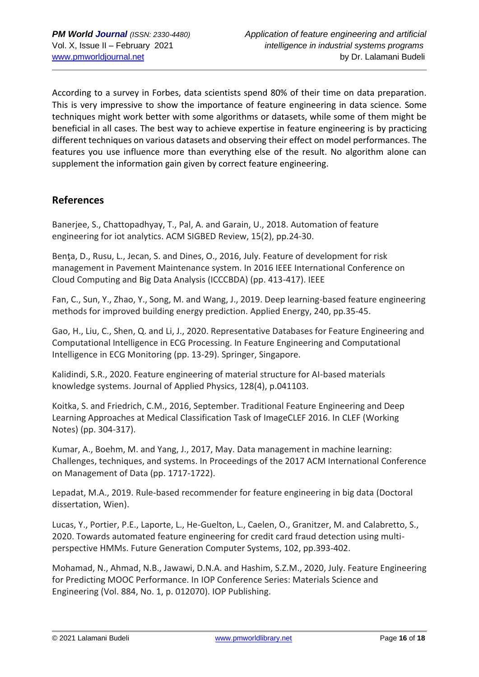According to a survey in Forbes, data scientists spend 80% of their time on data preparation. This is very impressive to show the importance of feature engineering in data science. Some techniques might work better with some algorithms or datasets, while some of them might be beneficial in all cases. The best way to achieve expertise in feature engineering is by practicing different techniques on various datasets and observing their effect on model performances. The features you use influence more than everything else of the result. No algorithm alone can supplement the information gain given by correct feature engineering.

# **References**

Banerjee, S., Chattopadhyay, T., Pal, A. and Garain, U., 2018. Automation of feature engineering for iot analytics. ACM SIGBED Review, 15(2), pp.24-30.

Bența, D., Rusu, L., Jecan, S. and Dines, O., 2016, July. Feature of development for risk management in Pavement Maintenance system. In 2016 IEEE International Conference on Cloud Computing and Big Data Analysis (ICCCBDA) (pp. 413-417). IEEE

Fan, C., Sun, Y., Zhao, Y., Song, M. and Wang, J., 2019. Deep learning-based feature engineering methods for improved building energy prediction. Applied Energy, 240, pp.35-45.

Gao, H., Liu, C., Shen, Q. and Li, J., 2020. Representative Databases for Feature Engineering and Computational Intelligence in ECG Processing. In Feature Engineering and Computational Intelligence in ECG Monitoring (pp. 13-29). Springer, Singapore.

Kalidindi, S.R., 2020. Feature engineering of material structure for AI-based materials knowledge systems. Journal of Applied Physics, 128(4), p.041103.

Koitka, S. and Friedrich, C.M., 2016, September. Traditional Feature Engineering and Deep Learning Approaches at Medical Classification Task of ImageCLEF 2016. In CLEF (Working Notes) (pp. 304-317).

Kumar, A., Boehm, M. and Yang, J., 2017, May. Data management in machine learning: Challenges, techniques, and systems. In Proceedings of the 2017 ACM International Conference on Management of Data (pp. 1717-1722).

Lepadat, M.A., 2019. Rule-based recommender for feature engineering in big data (Doctoral dissertation, Wien).

Lucas, Y., Portier, P.E., Laporte, L., He-Guelton, L., Caelen, O., Granitzer, M. and Calabretto, S., 2020. Towards automated feature engineering for credit card fraud detection using multiperspective HMMs. Future Generation Computer Systems, 102, pp.393-402.

Mohamad, N., Ahmad, N.B., Jawawi, D.N.A. and Hashim, S.Z.M., 2020, July. Feature Engineering for Predicting MOOC Performance. In IOP Conference Series: Materials Science and Engineering (Vol. 884, No. 1, p. 012070). IOP Publishing.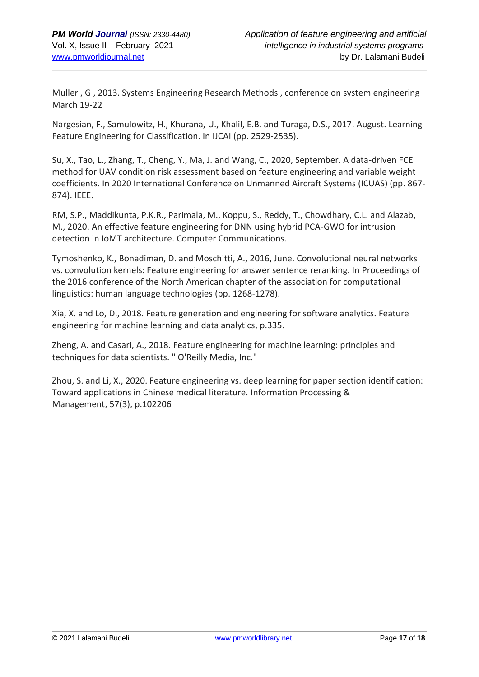Muller , G , 2013. Systems Engineering Research Methods , conference on system engineering March 19-22

Nargesian, F., Samulowitz, H., Khurana, U., Khalil, E.B. and Turaga, D.S., 2017. August. Learning Feature Engineering for Classification. In IJCAI (pp. 2529-2535).

Su, X., Tao, L., Zhang, T., Cheng, Y., Ma, J. and Wang, C., 2020, September. A data-driven FCE method for UAV condition risk assessment based on feature engineering and variable weight coefficients. In 2020 International Conference on Unmanned Aircraft Systems (ICUAS) (pp. 867- 874). IEEE.

RM, S.P., Maddikunta, P.K.R., Parimala, M., Koppu, S., Reddy, T., Chowdhary, C.L. and Alazab, M., 2020. An effective feature engineering for DNN using hybrid PCA-GWO for intrusion detection in IoMT architecture. Computer Communications.

Tymoshenko, K., Bonadiman, D. and Moschitti, A., 2016, June. Convolutional neural networks vs. convolution kernels: Feature engineering for answer sentence reranking. In Proceedings of the 2016 conference of the North American chapter of the association for computational linguistics: human language technologies (pp. 1268-1278).

Xia, X. and Lo, D., 2018. Feature generation and engineering for software analytics. Feature engineering for machine learning and data analytics, p.335.

Zheng, A. and Casari, A., 2018. Feature engineering for machine learning: principles and techniques for data scientists. " O'Reilly Media, Inc."

Zhou, S. and Li, X., 2020. Feature engineering vs. deep learning for paper section identification: Toward applications in Chinese medical literature. Information Processing & Management, 57(3), p.102206